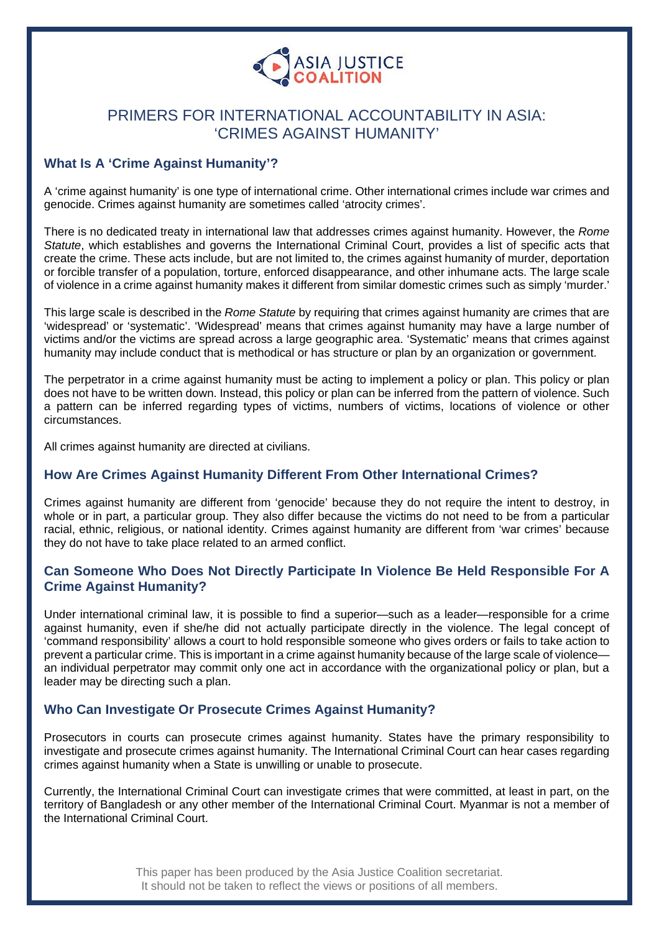

# PRIMERS FOR INTERNATIONAL ACCOUNTABILITY IN ASIA: 'CRIMES AGAINST HUMANITY'

## **What Is A 'Crime Against Humanity'?**

A 'crime against humanity' is one type of international crime. Other international crimes include war crimes and genocide. Crimes against humanity are sometimes called 'atrocity crimes'.

There is no dedicated treaty in international law that addresses crimes against humanity. However, the *Rome Statute*, which establishes and governs the International Criminal Court, provides a list of specific acts that create the crime. These acts include, but are not limited to, the crimes against humanity of murder, deportation or forcible transfer of a population, torture, enforced disappearance, and other inhumane acts. The large scale of violence in a crime against humanity makes it different from similar domestic crimes such as simply 'murder.'

This large scale is described in the *Rome Statute* by requiring that crimes against humanity are crimes that are 'widespread' or 'systematic'. 'Widespread' means that crimes against humanity may have a large number of victims and/or the victims are spread across a large geographic area. 'Systematic' means that crimes against humanity may include conduct that is methodical or has structure or plan by an organization or government.

The perpetrator in a crime against humanity must be acting to implement a policy or plan. This policy or plan does not have to be written down. Instead, this policy or plan can be inferred from the pattern of violence. Such a pattern can be inferred regarding types of victims, numbers of victims, locations of violence or other circumstances.

All crimes against humanity are directed at civilians.

## **How Are Crimes Against Humanity Different From Other International Crimes?**

Crimes against humanity are different from 'genocide' because they do not require the intent to destroy, in whole or in part, a particular group. They also differ because the victims do not need to be from a particular racial, ethnic, religious, or national identity. Crimes against humanity are different from 'war crimes' because they do not have to take place related to an armed conflict.

### **Can Someone Who Does Not Directly Participate In Violence Be Held Responsible For A Crime Against Humanity?**

Under international criminal law, it is possible to find a superior—such as a leader—responsible for a crime against humanity, even if she/he did not actually participate directly in the violence. The legal concept of 'command responsibility' allows a court to hold responsible someone who gives orders or fails to take action to prevent a particular crime. This is important in a crime against humanity because of the large scale of violence an individual perpetrator may commit only one act in accordance with the organizational policy or plan, but a leader may be directing such a plan.

#### **Who Can Investigate Or Prosecute Crimes Against Humanity?**

Prosecutors in courts can prosecute crimes against humanity. States have the primary responsibility to investigate and prosecute crimes against humanity. The International Criminal Court can hear cases regarding crimes against humanity when a State is unwilling or unable to prosecute.

Currently, the International Criminal Court can investigate crimes that were committed, at least in part, on the territory of Bangladesh or any other member of the International Criminal Court. Myanmar is not a member of the International Criminal Court.

> This paper has been produced by the Asia Justice Coalition secretariat. It should not be taken to reflect the views or positions of all members.